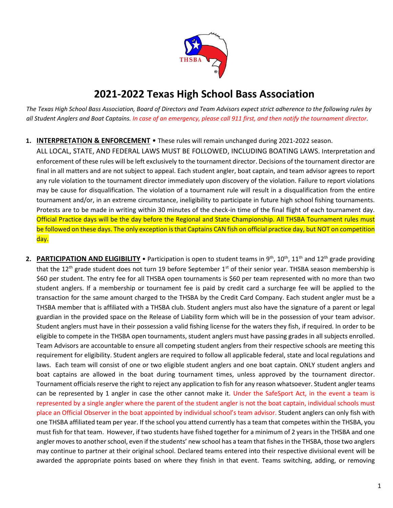

# **2021-2022 Texas High School Bass Association**

*The Texas High School Bass Association, Board of Directors and Team Advisors expect strict adherence to the following rules by all Student Anglers and Boat Captains. In case of an emergency, please call 911 first, and then notify the tournament director.* 

# **1. INTERPRETATION & ENFORCEMENT** • These rules will remain unchanged during 2021-2022 season.

ALL LOCAL, STATE, AND FEDERAL LAWS MUST BE FOLLOWED, INCLUDING BOATING LAWS. Interpretation and enforcement of these rules will be left exclusively to the tournament director. Decisions of the tournament director are final in all matters and are not subject to appeal. Each student angler, boat captain, and team advisor agrees to report any rule violation to the tournament director immediately upon discovery of the violation. Failure to report violations may be cause for disqualification. The violation of a tournament rule will result in a disqualification from the entire tournament and/or, in an extreme circumstance, ineligibility to participate in future high school fishing tournaments. Protests are to be made in writing within 30 minutes of the check-in time of the final flight of each tournament day. Official Practice days will be the day before the Regional and State Championship. All THSBA Tournament rules must be followed on these days. The only exception is that Captains CAN fish on official practice day, but NOT on competition day.

2. **PARTICIPATION AND ELIGIBILITY** • Participation is open to student teams in 9<sup>th</sup>, 10<sup>th</sup>, 11<sup>th</sup> and 12<sup>th</sup> grade providing that the 12<sup>th</sup> grade student does not turn 19 before September 1<sup>st</sup> of their senior year. THSBA season membership is \$60 per student. The entry fee for all THSBA open tournaments is \$60 per team represented with no more than two student anglers. If a membership or tournament fee is paid by credit card a surcharge fee will be applied to the transaction for the same amount charged to the THSBA by the Credit Card Company. Each student angler must be a THSBA member that is affiliated with a THSBA club. Student anglers must also have the signature of a parent or legal guardian in the provided space on the Release of Liability form which will be in the possession of your team advisor. Student anglers must have in their possession a valid fishing license for the waters they fish, if required. In order to be eligible to compete in the THSBA open tournaments, student anglers must have passing grades in all subjects enrolled. Team Advisors are accountable to ensure all competing student anglers from their respective schools are meeting this requirement for eligibility. Student anglers are required to follow all applicable federal, state and local regulations and laws. Each team will consist of one or two eligible student anglers and one boat captain. ONLY student anglers and boat captains are allowed in the boat during tournament times, unless approved by the tournament director. Tournament officials reserve the right to reject any application to fish for any reason whatsoever. Student angler teams can be represented by 1 angler in case the other cannot make it. Under the SafeSport Act, in the event a team is represented by a single angler where the parent of the student angler is not the boat captain, individual schools must place an Official Observer in the boat appointed by individual school's team advisor. Student anglers can only fish with one THSBA affiliated team per year. If the school you attend currently has a team that competes within the THSBA, you must fish for that team. However, if two students have fished together for a minimum of 2 years in the THSBA and one angler moves to another school, even if the students' new school has a team that fishes in the THSBA, those two anglers may continue to partner at their original school. Declared teams entered into their respective divisional event will be awarded the appropriate points based on where they finish in that event. Teams switching, adding, or removing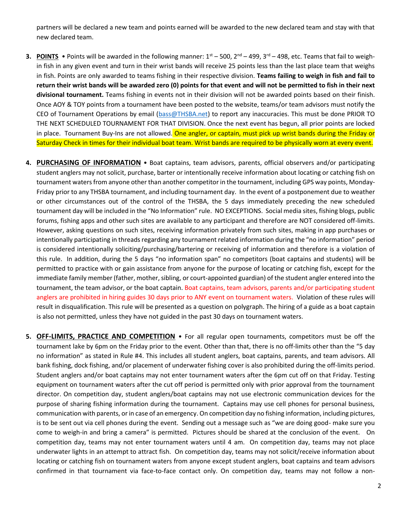partners will be declared a new team and points earned will be awarded to the new declared team and stay with that new declared team.

- **3. POINTS** Points will be awarded in the following manner:  $1<sup>st</sup> 500$ ,  $2<sup>nd</sup> 499$ ,  $3<sup>rd</sup> 498$ , etc. Teams that fail to weighin fish in any given event and turn in their wrist bands will receive 25 points less than the last place team that weighs in fish. Points are only awarded to teams fishing in their respective division. **Teams failing to weigh in fish and fail to return their wrist bands will be awarded zero (0) points for that event and will not be permitted to fish in their next divisional tournament.** Teams fishing in events not in their division will not be awarded points based on their finish. Once AOY & TOY points from a tournament have been posted to the website, teams/or team advisors must notify the CEO of Tournament Operations by email [\(bass@THSBA.net\)](mailto:bass@THSBA.net) to report any inaccuracies. This must be done PRIOR TO THE NEXT SCHEDULED TOURNAMENT FOR THAT DIVISION. Once the next event has begun, all prior points are locked in place. Tournament Buy-Ins are not allowed. One angler, or captain, must pick up wrist bands during the Friday or Saturday Check in times for their individual boat team. Wrist bands are required to be physically worn at every event.
- **4. PURCHASING OF INFORMATION** Boat captains, team advisors, parents, official observers and/or participating student anglers may not solicit, purchase, barter or intentionally receive information about locating or catching fish on tournament watersfrom anyone other than another competitor in the tournament, including GPS way points, Monday-Friday prior to any THSBA tournament, and including tournament day. In the event of a postponement due to weather or other circumstances out of the control of the THSBA, the 5 days immediately preceding the new scheduled tournament day will be included in the "No Information" rule. NO EXCEPTIONS. Social media sites, fishing blogs, public forums, fishing apps and other such sites are available to any participant and therefore are NOT considered off-limits. However, asking questions on such sites, receiving information privately from such sites, making in app purchases or intentionally participating in threads regarding any tournament related information during the "no information" period is considered intentionally soliciting/purchasing/bartering or receiving of information and therefore is a violation of this rule. In addition, during the 5 days "no information span" no competitors (boat captains and students) will be permitted to practice with or gain assistance from anyone for the purpose of locating or catching fish, except for the immediate family member (father, mother, sibling, or court-appointed guardian) of the student angler entered into the tournament, the team advisor, or the boat captain. Boat captains, team advisors, parents and/or participating student anglers are prohibited in hiring guides 30 days prior to ANY event on tournament waters. Violation of these rules will result in disqualification. This rule will be presented as a question on polygraph. The hiring of a guide as a boat captain is also not permitted, unless they have not guided in the past 30 days on tournament waters.
- **5. OFF-LIMITS, PRACTICE AND COMPETITION** For all regular open tournaments, competitors must be off the tournament lake by 6pm on the Friday prior to the event. Other than that, there is no off-limits other than the "5 day no information" as stated in Rule #4. This includes all student anglers, boat captains, parents, and team advisors. All bank fishing, dock fishing, and/or placement of underwater fishing cover is also prohibited during the off-limits period. Student anglers and/or boat captains may not enter tournament waters after the 6pm cut off on that Friday. Testing equipment on tournament waters after the cut off period is permitted only with prior approval from the tournament director. On competition day, student anglers/boat captains may not use electronic communication devices for the purpose of sharing fishing information during the tournament. Captains may use cell phones for personal business, communication with parents, or in case of an emergency. On competition day no fishing information, including pictures, is to be sent out via cell phones during the event. Sending out a message such as "we are doing good- make sure you come to weigh-in and bring a camera" is permitted. Pictures should be shared at the conclusion of the event. On competition day, teams may not enter tournament waters until 4 am. On competition day, teams may not place underwater lights in an attempt to attract fish. On competition day, teams may not solicit/receive information about locating or catching fish on tournament waters from anyone except student anglers, boat captains and team advisors confirmed in that tournament via face-to-face contact only. On competition day, teams may not follow a non-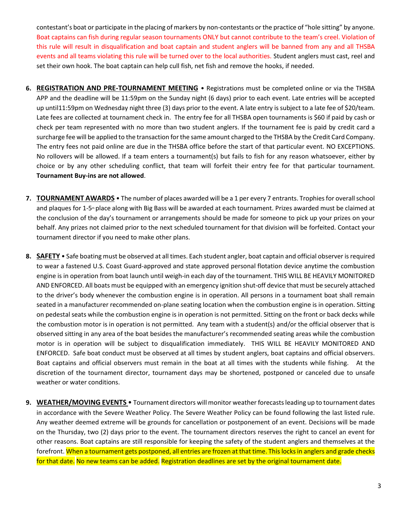contestant's boat or participate in the placing of markers by non-contestants or the practice of "hole sitting" by anyone. Boat captains can fish during regular season tournaments ONLY but cannot contribute to the team's creel. Violation of this rule will result in disqualification and boat captain and student anglers will be banned from any and all THSBA events and all teams violating this rule will be turned over to the local authorities. Student anglers must cast, reel and set their own hook. The boat captain can help cull fish, net fish and remove the hooks, if needed.

- **6. REGISTRATION AND PRE-TOURNAMENT MEETING** Registrations must be completed online or via the THSBA APP and the deadline will be 11:59pm on the Sunday night (6 days) prior to each event. Late entries will be accepted up until11:59pm on Wednesday night three (3) days prior to the event. A late entry is subject to a late fee of \$20/team. Late fees are collected at tournament check in. The entry fee for all THSBA open tournaments is \$60 if paid by cash or check per team represented with no more than two student anglers. If the tournament fee is paid by credit card a surcharge fee will be applied to the transaction for the same amount charged to the THSBA by the Credit Card Company. The entry fees not paid online are due in the THSBA office before the start of that particular event. NO EXCEPTIONS. No rollovers will be allowed. If a team enters a tournament(s) but fails to fish for any reason whatsoever, either by choice or by any other scheduling conflict, that team will forfeit their entry fee for that particular tournament. **Tournament Buy-ins are not allowed**.
- **7. TOURNAMENT AWARDS** The number of places awarded will be a 1 per every 7 entrants. Trophies for overall school and plaques for 1-5<sup>th</sup> place along with Big Bass will be awarded at each tournament. Prizes awarded must be claimed at the conclusion of the day's tournament or arrangements should be made for someone to pick up your prizes on your behalf. Any prizes not claimed prior to the next scheduled tournament for that division will be forfeited. Contact your tournament director if you need to make other plans.
- **8. SAFETY** Safe boating must be observed at all times. Each student angler, boat captain and official observer is required to wear a fastened U.S. Coast Guard-approved and state approved personal flotation device anytime the combustion engine is in operation from boat launch until weigh-in each day of the tournament. THIS WILL BE HEAVILY MONITORED AND ENFORCED. All boats must be equipped with an emergency ignition shut-off device that must be securely attached to the driver's body whenever the combustion engine is in operation. All persons in a tournament boat shall remain seated in a manufacturer recommended on-plane seating location when the combustion engine is in operation. Sitting on pedestal seats while the combustion engine is in operation is not permitted. Sitting on the front or back decks while the combustion motor is in operation is not permitted. Any team with a student(s) and/or the official observer that is observed sitting in any area of the boat besides the manufacturer's recommended seating areas while the combustion motor is in operation will be subject to disqualification immediately. THIS WILL BE HEAVILY MONITORED AND ENFORCED. Safe boat conduct must be observed at all times by student anglers, boat captains and official observers. Boat captains and official observers must remain in the boat at all times with the students while fishing. At the discretion of the tournament director, tournament days may be shortened, postponed or canceled due to unsafe weather or water conditions.
- **9. WEATHER/MOVING EVENTS**  Tournament directors will monitor weather forecastsleading up to tournament dates in accordance with the Severe Weather Policy. The Severe Weather Policy can be found following the last listed rule. Any weather deemed extreme will be grounds for cancellation or postponement of an event. Decisions will be made on the Thursday, two (2) days prior to the event. The tournament directors reserves the right to cancel an event for other reasons. Boat captains are still responsible for keeping the safety of the student anglers and themselves at the forefront. When a tournament gets postponed, all entries are frozen at that time. This locks in anglers and grade checks for that date. No new teams can be added. Registration deadlines are set by the original tournament date.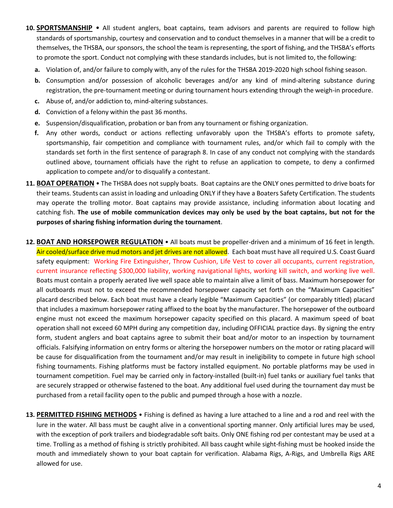- **10. SPORTSMANSHIP** All student anglers, boat captains, team advisors and parents are required to follow high standards of sportsmanship, courtesy and conservation and to conduct themselves in a manner that will be a credit to themselves, the THSBA, our sponsors, the school the team is representing, the sport of fishing, and the THSBA's efforts to promote the sport. Conduct not complying with these standards includes, but is not limited to, the following:
	- **a.** Violation of, and/or failure to comply with, any of the rules for the THSBA 2019-2020 high school fishing season.
	- **b.** Consumption and/or possession of alcoholic beverages and/or any kind of mind-altering substance during registration, the pre-tournament meeting or during tournament hours extending through the weigh-in procedure.
	- **c.** Abuse of, and/or addiction to, mind-altering substances.
	- **d.** Conviction of a felony within the past 36 months.
	- **e.** Suspension/disqualification, probation or ban from any tournament or fishing organization.
	- **f.** Any other words, conduct or actions reflecting unfavorably upon the THSBA's efforts to promote safety, sportsmanship, fair competition and compliance with tournament rules, and/or which fail to comply with the standards set forth in the first sentence of paragraph 8. In case of any conduct not complying with the standards outlined above, tournament officials have the right to refuse an application to compete, to deny a confirmed application to compete and/or to disqualify a contestant.
- **11. BOAT OPERATION** The THSBA does not supply boats. Boat captains are the ONLY ones permitted to drive boats for their teams. Students can assist in loading and unloading ONLY if they have a Boaters Safety Certification. The students may operate the trolling motor. Boat captains may provide assistance, including information about locating and catching fish. **The use of mobile communication devices may only be used by the boat captains, but not for the purposes of sharing fishing information during the tournament**.
- **12. BOAT AND HORSEPOWER REGULATION** All boats must be propeller-driven and a minimum of 16 feet in length. Air cooled/surface drive mud motors and jet drives are not allowed. Each boat must have all required U.S. Coast Guard safety equipment: Working Fire Extinguisher, Throw Cushion, Life Vest to cover all occupants, current registration, current insurance reflecting \$300,000 liability, working navigational lights, working kill switch, and working live well. Boats must contain a properly aerated live well space able to maintain alive a limit of bass. Maximum horsepower for all outboards must not to exceed the recommended horsepower capacity set forth on the "Maximum Capacities" placard described below. Each boat must have a clearly legible "Maximum Capacities" (or comparably titled) placard that includes a maximum horsepower rating affixed to the boat by the manufacturer. The horsepower of the outboard engine must not exceed the maximum horsepower capacity specified on this placard. A maximum speed of boat operation shall not exceed 60 MPH during any competition day, including OFFICIAL practice days. By signing the entry form, student anglers and boat captains agree to submit their boat and/or motor to an inspection by tournament officials. Falsifying information on entry forms or altering the horsepower numbers on the motor or rating placard will be cause for disqualification from the tournament and/or may result in ineligibility to compete in future high school fishing tournaments. Fishing platforms must be factory installed equipment. No portable platforms may be used in tournament competition. Fuel may be carried only in factory-installed (built-in) fuel tanks or auxiliary fuel tanks that are securely strapped or otherwise fastened to the boat. Any additional fuel used during the tournament day must be purchased from a retail facility open to the public and pumped through a hose with a nozzle.
- **13. PERMITTED FISHING METHODS** Fishing is defined as having a lure attached to a line and a rod and reel with the lure in the water. All bass must be caught alive in a conventional sporting manner. Only artificial lures may be used, with the exception of pork trailers and biodegradable soft baits. Only ONE fishing rod per contestant may be used at a time. Trolling as a method of fishing is strictly prohibited. All bass caught while sight-fishing must be hooked inside the mouth and immediately shown to your boat captain for verification. Alabama Rigs, A-Rigs, and Umbrella Rigs ARE allowed for use.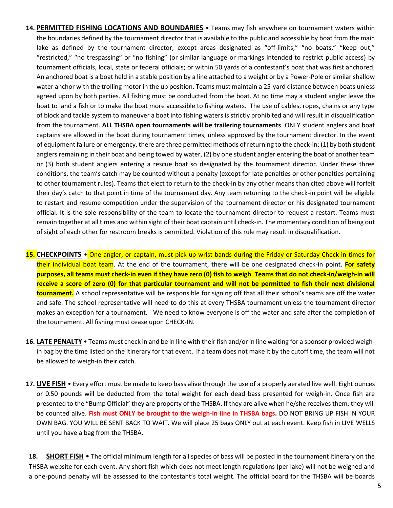- **14. PERMITTED FISHING LOCATIONS AND BOUNDARIES** Teams may fish anywhere on tournament waters within the boundaries defined by the tournament director that is available to the public and accessible by boat from the main lake as defined by the tournament director, except areas designated as "off-limits," "no boats," "keep out," "restricted," "no trespassing" or "no fishing" (or similar language or markings intended to restrict public access) by tournament officials, local, state or federal officials; or within 50 yards of a contestant's boat that was first anchored. An anchored boat is a boat held in a stable position by a line attached to a weight or by a Power-Pole or similar shallow water anchor with the trolling motor in the up position. Teams must maintain a 25-yard distance between boats unless agreed upon by both parties. All fishing must be conducted from the boat. At no time may a student angler leave the boat to land a fish or to make the boat more accessible to fishing waters. The use of cables, ropes, chains or any type of block and tackle system to maneuver a boat into fishing waters is strictly prohibited and will result in disqualification from the tournament. **ALL THSBA open tournaments will be trailering tournaments**. ONLY student anglers and boat captains are allowed in the boat during tournament times, unless approved by the tournament director. In the event of equipment failure or emergency, there are three permitted methods of returning to the check-in: (1) by both student anglers remaining in their boat and being towed by water, (2) by one student angler entering the boat of another team or (3) both student anglers entering a rescue boat so designated by the tournament director. Under these three conditions, the team's catch may be counted without a penalty (except for late penalties or other penalties pertaining to other tournament rules). Teams that elect to return to the check-in by any other means than cited above will forfeit their day's catch to that point in time of the tournament day. Any team returning to the check-in point will be eligible to restart and resume competition under the supervision of the tournament director or his designated tournament official. It is the sole responsibility of the team to locate the tournament director to request a restart. Teams must remain together at all times and within sight of their boat captain until check-in. The momentary condition of being out of sight of each other for restroom breaks is permitted. Violation of this rule may result in disqualification.
- **15. CHECKPOINTS** One angler, or captain, must pick up wrist bands during the Friday or Saturday Check in times for their individual boat team. At the end of the tournament, there will be one designated check-in point. **For safety purposes, all teams must check-in even if they have zero (0) fish to weigh**. **Teams that do not check-in/weigh-in will receive a score of zero (0) for that particular tournament and will not be permitted to fish their next divisional tournament.** A school representative will be responsible for signing off that all their school's teams are off the water and safe. The school representative will need to do this at every THSBA tournament unless the tournament director makes an exception for a tournament. We need to know everyone is off the water and safe after the completion of the tournament. All fishing must cease upon CHECK-IN.
- **16. LATE PENALTY** Teams must check in and be in line with their fish and/or in line waiting for a sponsor provided weighin bag by the time listed on the itinerary for that event. If a team does not make it by the cutoff time, the team will not be allowed to weigh-in their catch.
- **17. LIVE FISH** Every effort must be made to keep bass alive through the use of a properly aerated live well. Eight ounces or 0.50 pounds will be deducted from the total weight for each dead bass presented for weigh-in. Once fish are presented to the "Bump Official" they are property of the THSBA. If they are alive when he/she receives them, they will be counted alive. **Fish must ONLY be brought to the weigh-in line in THSBA bags.** DO NOT BRING UP FISH IN YOUR OWN BAG. YOU WILL BE SENT BACK TO WAIT. We will place 25 bags ONLY out at each event. Keep fish in LIVE WELLS until you have a bag from the THSBA.

18. **SHORT FISH** • The official minimum length for all species of bass will be posted in the tournament itinerary on the THSBA website for each event. Any short fish which does not meet length regulations (per lake) will not be weighed and a one-pound penalty will be assessed to the contestant's total weight. The official board for the THSBA will be boards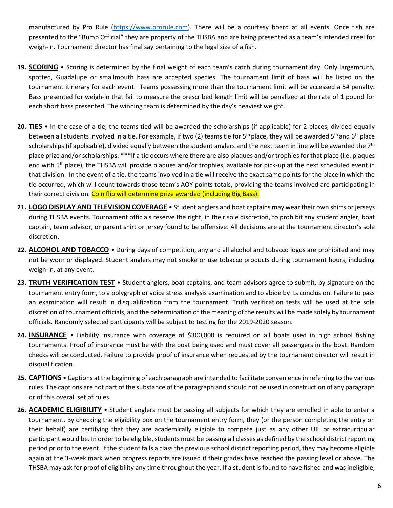manufactured by Pro Rule [\(https://www.prorule.com\)](https://www.prorule.com/). There will be a courtesy board at all events. Once fish are presented to the "Bump Official" they are property of the THSBA and are being presented as a team's intended creel for weigh-in. Tournament director has final say pertaining to the legal size of a fish.

- **19. SCORING** Scoring is determined by the final weight of each team's catch during tournament day. Only largemouth, spotted, Guadalupe or smallmouth bass are accepted species. The tournament limit of bass will be listed on the tournament itinerary for each event. Teams possessing more than the tournament limit will be accessed a 5# penalty. Bass presented for weigh-in that fail to measure the prescribed length limit will be penalized at the rate of 1 pound for each short bass presented. The winning team is determined by the day's heaviest weight.
- **20. TIES** In the case of a tie, the teams tied will be awarded the scholarships (if applicable) for 2 places, divided equally between all students involved in a tie. For example, if two (2) teams tie for  $5<sup>th</sup>$  place, they will be awarded  $5<sup>th</sup>$  and  $6<sup>th</sup>$  place scholarships (if applicable), divided equally between the student anglers and the next team in line will be awarded the  $7<sup>th</sup>$ place prize and/or scholarships. \*\*\*If a tie occurs where there are also plaques and/or trophies for that place (i.e. plaques end with  $5<sup>th</sup>$  place), the THSBA will provide plaques and/or trophies, available for pick-up at the next scheduled event in that division. In the event of a tie, the teams involved in a tie will receive the exact same points for the place in which the tie occurred, which will count towards those team's AOY points totals, providing the teams involved are participating in their correct division. Coin flip will determine prize awarded (including Big Bass).
- **21. LOGO DISPLAY AND TELEVISION COVERAGE** Student anglers and boat captains may wear their own shirts or jerseys during THSBA events. Tournament officials reserve the right, in their sole discretion, to prohibit any student angler, boat captain, team advisor, or parent shirt or jersey found to be offensive. All decisions are at the tournament director's sole discretion.
- **22. ALCOHOL AND TOBACCO** During days of competition, any and all alcohol and tobacco logos are prohibited and may not be worn or displayed. Student anglers may not smoke or use tobacco products during tournament hours, including weigh-in, at any event.
- **23. TRUTH VERIFICATION TEST** Student anglers, boat captains, and team advisors agree to submit, by signature on the tournament entry form, to a polygraph or voice stress analysis examination and to abide by its conclusion. Failure to pass an examination will result in disqualification from the tournament. Truth verification tests will be used at the sole discretion of tournament officials, and the determination of the meaning of the results will be made solely by tournament officials. Randomly selected participants will be subject to testing for the 2019-2020 season.
- **24. INSURANCE** Liability insurance with coverage of \$300,000 is required on all boats used in high school fishing tournaments. Proof of insurance must be with the boat being used and must cover all passengers in the boat. Random checks will be conducted. Failure to provide proof of insurance when requested by the tournament director will result in disqualification.
- **25. CAPTIONS** Captions at the beginning of each paragraph are intended to facilitate convenience in referring to the various rules. The captions are not part of the substance of the paragraph and should not be used in construction of any paragraph or of this overall set of rules.
- **26. ACADEMIC ELIGIBILITY** Student anglers must be passing all subjects for which they are enrolled in able to enter a tournament. By checking the eligibility box on the tournament entry form, they (or the person completing the entry on their behalf) are certifying that they are academically eligible to compete just as any other UIL or extracurricular participant would be. In order to be eligible, students must be passing all classes as defined by the school district reporting period prior to the event. If the student fails a class the previous school district reporting period, they may become eligible again at the 3-week mark when progress reports are issued if their grades have reached the passing level or above. The THSBA may ask for proof of eligibility any time throughout the year. If a student is found to have fished and was ineligible,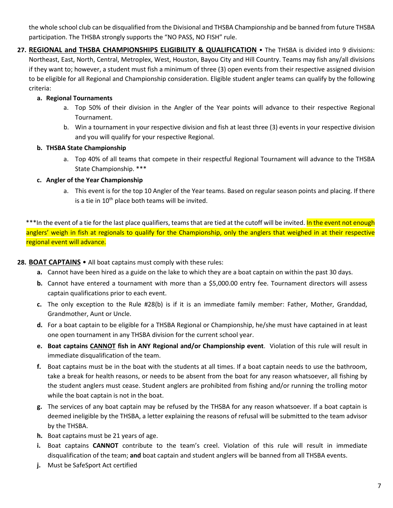the whole school club can be disqualified from the Divisional and THSBA Championship and be banned from future THSBA participation. The THSBA strongly supports the "NO PASS, NO FISH" rule.

**27. REGIONAL and THSBA CHAMPIONSHIPS ELIGIBILITY & QUALIFICATION** • The THSBA is divided into 9 divisions: Northeast, East, North, Central, Metroplex, West, Houston, Bayou City and Hill Country. Teams may fish any/all divisions if they want to; however, a student must fish a minimum of three (3) open events from their respective assigned division to be eligible for all Regional and Championship consideration. Eligible student angler teams can qualify by the following criteria:

# **a. Regional Tournaments**

- a. Top 50% of their division in the Angler of the Year points will advance to their respective Regional Tournament.
- b. Win a tournament in your respective division and fish at least three (3) events in your respective division and you will qualify for your respective Regional.

# **b. THSBA State Championship**

a. Top 40% of all teams that compete in their respectful Regional Tournament will advance to the THSBA State Championship. \*\*\*

# **c. Angler of the Year Championship**

a. This event is for the top 10 Angler of the Year teams. Based on regular season points and placing. If there is a tie in  $10^{th}$  place both teams will be invited.

\*\*\*In the event of a tie for the last place qualifiers, teams that are tied at the cutoff will be invited. In the event not enough anglers' weigh in fish at regionals to qualify for the Championship, only the anglers that weighed in at their respective regional event will advance.

# **28. BOAT CAPTAINS** • All boat captains must comply with these rules:

- **a.** Cannot have been hired as a guide on the lake to which they are a boat captain on within the past 30 days.
- **b.** Cannot have entered a tournament with more than a \$5,000.00 entry fee. Tournament directors will assess captain qualifications prior to each event.
- **c.** The only exception to the Rule #28(b) is if it is an immediate family member: Father, Mother, Granddad, Grandmother, Aunt or Uncle.
- **d.** For a boat captain to be eligible for a THSBA Regional or Championship, he/she must have captained in at least one open tournament in any THSBA division for the current school year.
- **e. Boat captains CANNOT fish in ANY Regional and/or Championship event**. Violation of this rule will result in immediate disqualification of the team.
- **f.** Boat captains must be in the boat with the students at all times. If a boat captain needs to use the bathroom, take a break for health reasons, or needs to be absent from the boat for any reason whatsoever, all fishing by the student anglers must cease. Student anglers are prohibited from fishing and/or running the trolling motor while the boat captain is not in the boat.
- **g.** The services of any boat captain may be refused by the THSBA for any reason whatsoever. If a boat captain is deemed ineligible by the THSBA, a letter explaining the reasons of refusal will be submitted to the team advisor by the THSBA.
- **h.** Boat captains must be 21 years of age.
- **i.** Boat captains **CANNOT** contribute to the team's creel. Violation of this rule will result in immediate disqualification of the team; **and** boat captain and student anglers will be banned from all THSBA events.
- **j.** Must be SafeSport Act certified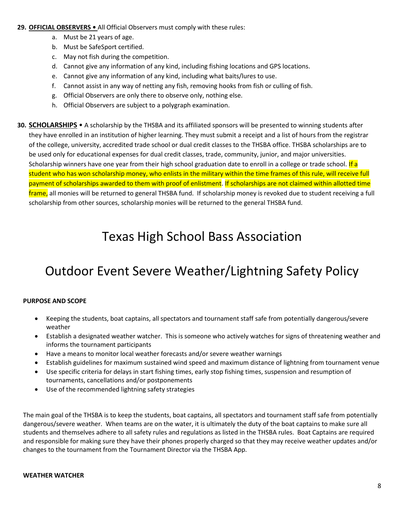#### **29. OFFICIAL OBSERVERS •** All Official Observers must comply with these rules:

- a. Must be 21 years of age.
- b. Must be SafeSport certified.
- c. May not fish during the competition.
- d. Cannot give any information of any kind, including fishing locations and GPS locations.
- e. Cannot give any information of any kind, including what baits/lures to use.
- f. Cannot assist in any way of netting any fish, removing hooks from fish or culling of fish.
- g. Official Observers are only there to observe only, nothing else.
- h. Official Observers are subject to a polygraph examination.

**30. SCHOLARSHIPS** • A scholarship by the THSBA and its affiliated sponsors will be presented to winning students after they have enrolled in an institution of higher learning. They must submit a receipt and a list of hours from the registrar of the college, university, accredited trade school or dual credit classes to the THSBA office. THSBA scholarships are to be used only for educational expenses for dual credit classes, trade, community, junior, and major universities. Scholarship winners have one year from their high school graduation date to enroll in a college or trade school. If a student who has won scholarship money, who enlists in the military within the time frames of this rule, will receive full payment of scholarships awarded to them with proof of enlistment. If scholarships are not claimed within allotted time frame, all monies will be returned to general THSBA fund. If scholarship money is revoked due to student receiving a full scholarship from other sources, scholarship monies will be returned to the general THSBA fund.

# Texas High School Bass Association

# Outdoor Event Severe Weather/Lightning Safety Policy

# **PURPOSE AND SCOPE**

- Keeping the students, boat captains, all spectators and tournament staff safe from potentially dangerous/severe weather
- Establish a designated weather watcher. This is someone who actively watches for signs of threatening weather and informs the tournament participants
- Have a means to monitor local weather forecasts and/or severe weather warnings
- Establish guidelines for maximum sustained wind speed and maximum distance of lightning from tournament venue
- Use specific criteria for delays in start fishing times, early stop fishing times, suspension and resumption of tournaments, cancellations and/or postponements
- Use of the recommended lightning safety strategies

The main goal of the THSBA is to keep the students, boat captains, all spectators and tournament staff safe from potentially dangerous/severe weather. When teams are on the water, it is ultimately the duty of the boat captains to make sure all students and themselves adhere to all safety rules and regulations as listed in the THSBA rules. Boat Captains are required and responsible for making sure they have their phones properly charged so that they may receive weather updates and/or changes to the tournament from the Tournament Director via the THSBA App.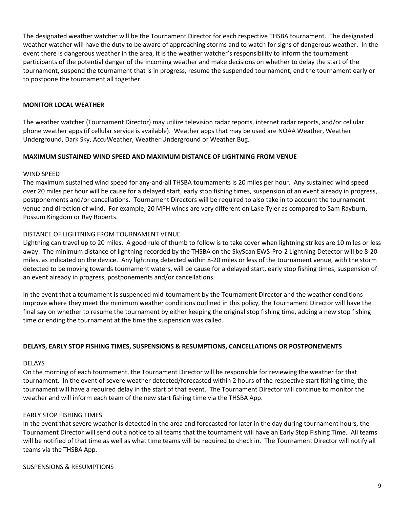The designated weather watcher will be the Tournament Director for each respective THSBA tournament. The designated weather watcher will have the duty to be aware of approaching storms and to watch for signs of dangerous weather. In the event there is dangerous weather in the area, it is the weather watcher's responsibility to inform the tournament participants of the potential danger of the incoming weather and make decisions on whether to delay the start of the tournament, suspend the tournament that is in progress, resume the suspended tournament, end the tournament early or to postpone the tournament all together.

#### **MONITOR LOCAL WEATHER**

The weather watcher (Tournament Director) may utilize television radar reports, internet radar reports, and/or cellular phone weather apps (if cellular service is available). Weather apps that may be used are NOAA Weather, Weather Underground, Dark Sky, AccuWeather, Weather Underground or Weather Bug.

#### **MAXIMUM SUSTAINED WIND SPEED AND MAXIMUM DISTANCE OF LIGHTNING FROM VENUE**

#### WIND SPEED

The maximum sustained wind speed for any-and-all THSBA tournaments is 20 miles per hour. Any sustained wind speed over 20 miles per hour will be cause for a delayed start, early stop fishing times, suspension of an event already in progress, postponements and/or cancellations. Tournament Directors will be required to also take in to account the tournament venue and direction of wind. For example, 20 MPH winds are very different on Lake Tyler as compared to Sam Rayburn, Possum Kingdom or Ray Roberts.

#### DISTANCE OF LIGHTNING FROM TOURNAMENT VENUE

Lightning can travel up to 20 miles. A good rule of thumb to follow is to take cover when lightning strikes are 10 miles or less away. The minimum distance of lightning recorded by the THSBA on the SkyScan EWS-Pro-2 Lightning Detector will be 8-20 miles, as indicated on the device. Any lightning detected within 8-20 miles or less of the tournament venue, with the storm detected to be moving towards tournament waters, will be cause for a delayed start, early stop fishing times, suspension of an event already in progress, postponements and/or cancellations.

In the event that a tournament is suspended mid-tournament by the Tournament Director and the weather conditions improve where they meet the minimum weather conditions outlined in this policy, the Tournament Director will have the final say on whether to resume the tournament by either keeping the original stop fishing time, adding a new stop fishing time or ending the tournament at the time the suspension was called.

#### **DELAYS, EARLY STOP FISHING TIMES, SUSPENSIONS & RESUMPTIONS, CANCELLATIONS OR POSTPONEMENTS**

#### DELAYS

On the morning of each tournament, the Tournament Director will be responsible for reviewing the weather for that tournament. In the event of severe weather detected/forecasted within 2 hours of the respective start fishing time, the tournament will have a required delay in the start of that event. The Tournament Director will continue to monitor the weather and will inform each team of the new start fishing time via the THSBA App.

#### EARLY STOP FISHING TIMES

In the event that severe weather is detected in the area and forecasted for later in the day during tournament hours, the Tournament Director will send out a notice to all teams that the tournament will have an Early Stop Fishing Time. All teams will be notified of that time as well as what time teams will be required to check in. The Tournament Director will notify all teams via the THSBA App.

SUSPENSIONS & RESUMPTIONS